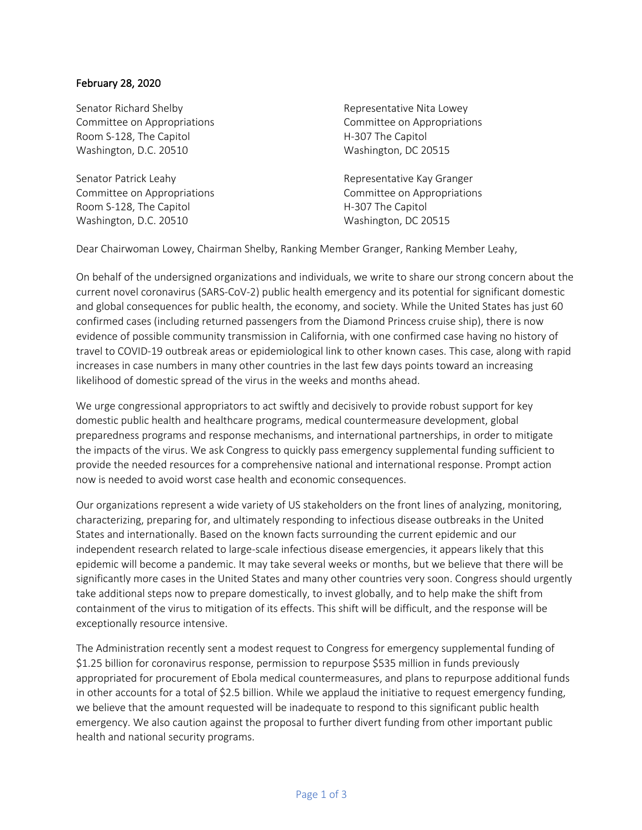## February 28, 2020

Washington, D.C. 20510 Washington, DC 20515 Senator Richard Shelby **Representative Nita Lowey** Committee on Appropriations Committee on Appropriations Room S-128, The Capitol **H-307** The Capitol

Washington, D.C. 20510 Washington, DC 20515 Senator Patrick Leahy **Representative Kay Granger** Representative Kay Granger Room S-128, The Capitol **H-307** The Capitol

Washington, DC 20515

Washington, DC 20515 Committee on Appropriations Committee on Appropriations

Dear Chairwoman Lowey, Chairman Shelby, Ranking Member Granger, Ranking Member Leahy,

 On behalf of the undersigned organizations and individuals, we write to share our strong concern about the current novel coronavirus (SARS-CoV-2) public health emergency and its potential for significant domestic and global consequences for public health, the economy, and society. While the United States has just 60 confirmed cases (including returned passengers from the Diamond Princess cruise ship), there is now evidence of possible community transmission in California, with one confirmed case having no history of travel to COVID-19 outbreak areas or epidemiological link to other known cases. This case, along with rapid increases in case numbers in many other countries in the last few days points toward an increasing likelihood of domestic spread of the virus in the weeks and months ahead.

 We urge congressional appropriators to act swiftly and decisively to provide robust support for key domestic public health and healthcare programs, medical countermeasure development, global preparedness programs and response mechanisms, and international partnerships, in order to mitigate the impacts of the virus. We ask Congress to quickly pass emergency supplemental funding sufficient to provide the needed resources for a comprehensive national and international response. Prompt action now is needed to avoid worst case health and economic consequences.

 Our organizations represent a wide variety of US stakeholders on the front lines of analyzing, monitoring, characterizing, preparing for, and ultimately responding to infectious disease outbreaks in the United States and internationally. Based on the known facts surrounding the current epidemic and our significantly more cases in the United States and many other countries very soon. Congress should urgently take additional steps now to prepare domestically, to invest globally, and to help make the shift from containment of the virus to mitigation of its effects. This shift will be difficult, and the response will be independent research related to large-scale infectious disease emergencies, it appears likely that this epidemic will become a pandemic. It may take several weeks or months, but we believe that there will be exceptionally resource intensive.

 \$1.25 billion for coronavirus response, permission to repurpose \$535 million in funds previously in other accounts for a total of \$2.5 billion. While we applaud the initiative to request emergency funding, we believe that the amount requested will be inadequate to respond to this significant public health emergency. We also caution against the proposal to further divert funding from other important public health and national security programs. The Administration recently sent a modest request to Congress for emergency supplemental funding of appropriated for procurement of Ebola medical countermeasures, and plans to repurpose additional funds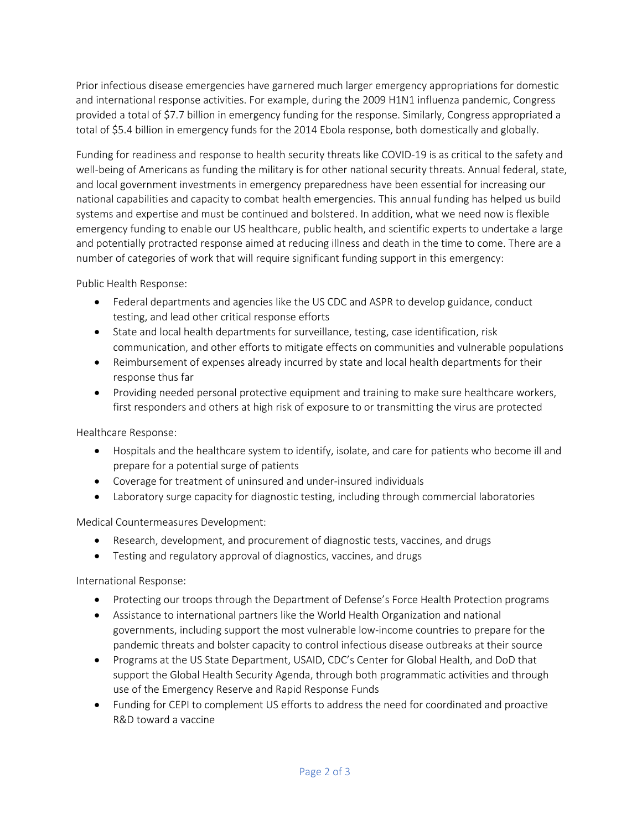and international response activities. For example, during the 2009 H1N1 influenza pandemic, Congress provided a total of \$7.7 billion in emergency funding for the response. Similarly, Congress appropriated a Prior infectious disease emergencies have garnered much larger emergency appropriations for domestic total of \$5.4 billion in emergency funds for the 2014 Ebola response, both domestically and globally.

 well-being of Americans as funding the military is for other national security threats. Annual federal, state, and local government investments in emergency preparedness have been essential for increasing our national capabilities and capacity to combat health emergencies. This annual funding has helped us build systems and expertise and must be continued and bolstered. In addition, what we need now is flexible emergency funding to enable our US healthcare, public health, and scientific experts to undertake a large number of categories of work that will require significant funding support in this emergency: Funding for readiness and response to health security threats like COVID-19 is as critical to the safety and and potentially protracted response aimed at reducing illness and death in the time to come. There are a

Public Health Response:

- • Federal departments and agencies like the US CDC and ASPR to develop guidance, conduct testing, and lead other critical response efforts
- State and local health departments for surveillance, testing, case identification, risk communication, and other efforts to mitigate effects on communities and vulnerable populations
- • Reimbursement of expenses already incurred by state and local health departments for their response thus far
- Providing needed personal protective equipment and training to make sure healthcare workers, first responders and others at high risk of exposure to or transmitting the virus are protected

Healthcare Response:

- • Hospitals and the healthcare system to identify, isolate, and care for patients who become ill and prepare for a potential surge of patients
- Coverage for treatment of uninsured and under-insured individuals
- Laboratory surge capacity for diagnostic testing, including through commercial laboratories

Medical Countermeasures Development:

- Research, development, and procurement of diagnostic tests, vaccines, and drugs
- Testing and regulatory approval of diagnostics, vaccines, and drugs

International Response:

- Protecting our troops through the Department of Defense's Force Health Protection programs
- • Assistance to international partners like the World Health Organization and national pandemic threats and bolster capacity to control infectious disease outbreaks at their source governments, including support the most vulnerable low-income countries to prepare for the
- • Programs at the US State Department, USAID, CDC's Center for Global Health, and DoD that support the Global Health Security Agenda, through both programmatic activities and through use of the Emergency Reserve and Rapid Response Funds
- Funding for CEPI to complement US efforts to address the need for coordinated and proactive R&D toward a vaccine